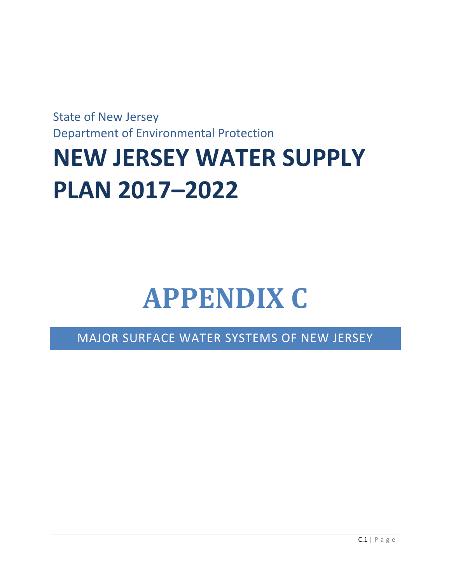State of New Jersey Department of Environmental Protection

# **NEW JERSEY WATER SUPPLY PLAN 2017–2022**

# **APPENDIX C**

MAJOR SURFACE WATER SYSTEMS OF NEW JERSEY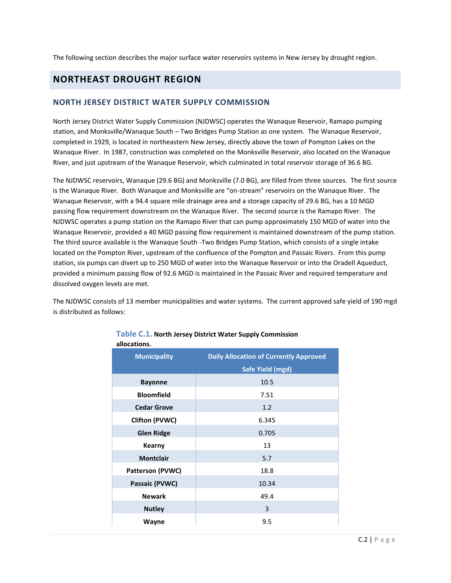The following section describes the major surface water reservoirs systems in New Jersey by drought region.

## **NORTHEAST DROUGHT REGION**

### **NORTH JERSEY DISTRICT WATER SUPPLY COMMISSION**

North Jersey District Water Supply Commission (NJDWSC) operates the Wanaque Reservoir, Ramapo pumping station, and Monksville/Wanaque South – Two Bridges Pump Station as one system. The Wanaque Reservoir, completed in 1929, is located in northeastern New Jersey, directly above the town of Pompton Lakes on the Wanaque River. In 1987, construction was completed on the Monksville Reservoir, also located on the Wanaque River, and just upstream of the Wanaque Reservoir, which culminated in total reservoir storage of 36.6 BG.

The NJDWSC reservoirs, Wanaque (29.6 BG) and Monksville (7.0 BG), are filled from three sources. The first source is the Wanaque River. Both Wanaque and Monksville are "on-stream" reservoirs on the Wanaque River. The Wanaque Reservoir, with a 94.4 square mile drainage area and a storage capacity of 29.6 BG, has a 10 MGD passing flow requirement downstream on the Wanaque River. The second source is the Ramapo River. The NJDWSC operates a pump station on the Ramapo River that can pump approximately 150 MGD of water into the Wanaque Reservoir, provided a 40 MGD passing flow requirement is maintained downstream of the pump station. The third source available is the Wanaque South -Two Bridges Pump Station, which consists of a single intake located on the Pompton River, upstream of the confluence of the Pompton and Passaic Rivers. From this pump station, six pumps can divert up to 250 MGD of water into the Wanaque Reservoir or into the Oradell Aqueduct, provided a minimum passing flow of 92.6 MGD is maintained in the Passaic River and required temperature and dissolved oxygen levels are met.

The NJDWSC consists of 13 member municipalities and water systems. The current approved safe yield of 190 mgd is distributed as follows:

| <b>Municipality</b> | <b>Daily Allocation of Currently Approved</b><br>Safe Yield (mgd) |
|---------------------|-------------------------------------------------------------------|
| <b>Bayonne</b>      | 10.5                                                              |
| <b>Bloomfield</b>   | 7.51                                                              |
| <b>Cedar Grove</b>  | 1.2                                                               |
| Clifton (PVWC)      | 6.345                                                             |
| <b>Glen Ridge</b>   | 0.705                                                             |
| Kearny              | 13                                                                |
| <b>Montclair</b>    | 5.7                                                               |
| Patterson (PVWC)    | 18.8                                                              |
| Passaic (PVWC)      | 10.34                                                             |
| <b>Newark</b>       | 49.4                                                              |
| <b>Nutley</b>       | 3                                                                 |
| Wayne               | 9.5                                                               |

#### **Table C.1. North Jersey District Water Supply Commission allocations.**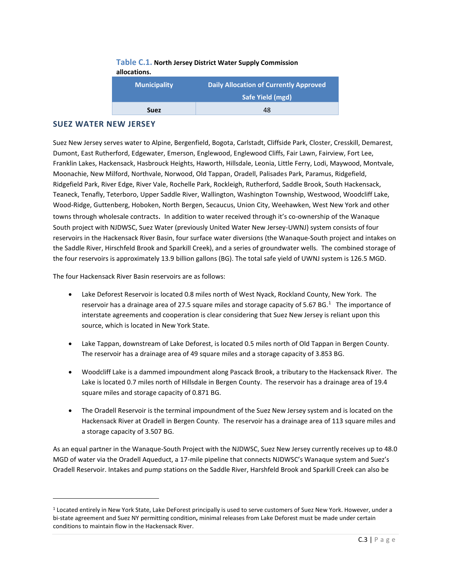| allocations.        |                                               |
|---------------------|-----------------------------------------------|
| <b>Municipality</b> | <b>Daily Allocation of Currently Approved</b> |
|                     | <b>Safe Yield (mgd)</b>                       |
| <b>Suez</b>         | 48                                            |

## **Table C.1. North Jersey District Water Supply Commission**

### **SUEZ WATER NEW JERSEY**

 $\overline{a}$ 

Suez New Jersey serves water to Alpine, Bergenfield, Bogota, Carlstadt, Cliffside Park, Closter, Cresskill, Demarest, Dumont, East Rutherford, Edgewater, Emerson, Englewood, Englewood Cliffs, Fair Lawn, Fairview, Fort Lee, Franklin Lakes, Hackensack, Hasbrouck Heights, Haworth, Hillsdale, Leonia, Little Ferry, Lodi, Maywood, Montvale, Moonachie, New Milford, Northvale, Norwood, Old Tappan, Oradell, Palisades Park, Paramus, Ridgefield, Ridgefield Park, River Edge, River Vale, Rochelle Park, Rockleigh, Rutherford, Saddle Brook, South Hackensack, Teaneck, Tenafly, Teterboro, Upper Saddle River, Wallington, Washington Township, Westwood, Woodcliff Lake, Wood-Ridge, Guttenberg, Hoboken, North Bergen, Secaucus, Union City, Weehawken, West New York and other towns through wholesale contracts. In addition to water received through it's co-ownership of the Wanaque South project with NJDWSC, Suez Water (previously United Water New Jersey-UWNJ) system consists of four reservoirs in the Hackensack River Basin, four surface water diversions (the Wanaque-South project and intakes on the Saddle River, Hirschfeld Brook and Sparkill Creek), and a series of groundwater wells. The combined storage of the four reservoirs is approximately 13.9 billion gallons (BG). The total safe yield of UWNJ system is 126.5 MGD.

The four Hackensack River Basin reservoirs are as follows:

- Lake Deforest Reservoir is located 0.8 miles north of West Nyack, Rockland County, New York. The reservoir has a drainage area of 27.5 square miles and storage capacity of 5.67 BG.<sup>1</sup> The importance of interstate agreements and cooperation is clear considering that Suez New Jersey is reliant upon this source, which is located in New York State.
- Lake Tappan, downstream of Lake Deforest, is located 0.5 miles north of Old Tappan in Bergen County. The reservoir has a drainage area of 49 square miles and a storage capacity of 3.853 BG.
- Woodcliff Lake is a dammed impoundment along Pascack Brook, a tributary to the Hackensack River. The Lake is located 0.7 miles north of Hillsdale in Bergen County. The reservoir has a drainage area of 19.4 square miles and storage capacity of 0.871 BG.
- The Oradell Reservoir is the terminal impoundment of the Suez New Jersey system and is located on the Hackensack River at Oradell in Bergen County. The reservoir has a drainage area of 113 square miles and a storage capacity of 3.507 BG.

As an equal partner in the Wanaque-South Project with the NJDWSC, Suez New Jersey currently receives up to 48.0 MGD of water via the Oradell Aqueduct, a 17-mile pipeline that connects NJDWSC's Wanaque system and Suez's Oradell Reservoir. Intakes and pump stations on the Saddle River, Harshfeld Brook and Sparkill Creek can also be

<sup>1</sup> Located entirely in New York State, Lake DeForest principally is used to serve customers of Suez New York. However, under a bi-state agreement and Suez NY permitting condition**,** minimal releases from Lake Deforest must be made under certain conditions to maintain flow in the Hackensack River.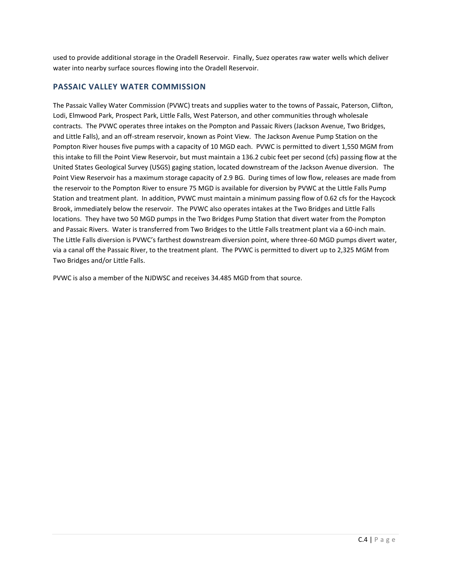used to provide additional storage in the Oradell Reservoir. Finally, Suez operates raw water wells which deliver water into nearby surface sources flowing into the Oradell Reservoir.

## **PASSAIC VALLEY WATER COMMISSION**

The Passaic Valley Water Commission (PVWC) treats and supplies water to the towns of Passaic, Paterson, Clifton, Lodi, Elmwood Park, Prospect Park, Little Falls, West Paterson, and other communities through wholesale contracts. The PVWC operates three intakes on the Pompton and Passaic Rivers (Jackson Avenue, Two Bridges, and Little Falls), and an off-stream reservoir, known as Point View. The Jackson Avenue Pump Station on the Pompton River houses five pumps with a capacity of 10 MGD each. PVWC is permitted to divert 1,550 MGM from this intake to fill the Point View Reservoir, but must maintain a 136.2 cubic feet per second (cfs) passing flow at the United States Geological Survey (USGS) gaging station, located downstream of the Jackson Avenue diversion. The Point View Reservoir has a maximum storage capacity of 2.9 BG. During times of low flow, releases are made from the reservoir to the Pompton River to ensure 75 MGD is available for diversion by PVWC at the Little Falls Pump Station and treatment plant. In addition, PVWC must maintain a minimum passing flow of 0.62 cfs for the Haycock Brook, immediately below the reservoir. The PVWC also operates intakes at the Two Bridges and Little Falls locations. They have two 50 MGD pumps in the Two Bridges Pump Station that divert water from the Pompton and Passaic Rivers. Water is transferred from Two Bridges to the Little Falls treatment plant via a 60-inch main. The Little Falls diversion is PVWC's farthest downstream diversion point, where three-60 MGD pumps divert water, via a canal off the Passaic River, to the treatment plant. The PVWC is permitted to divert up to 2,325 MGM from Two Bridges and/or Little Falls.

PVWC is also a member of the NJDWSC and receives 34.485 MGD from that source.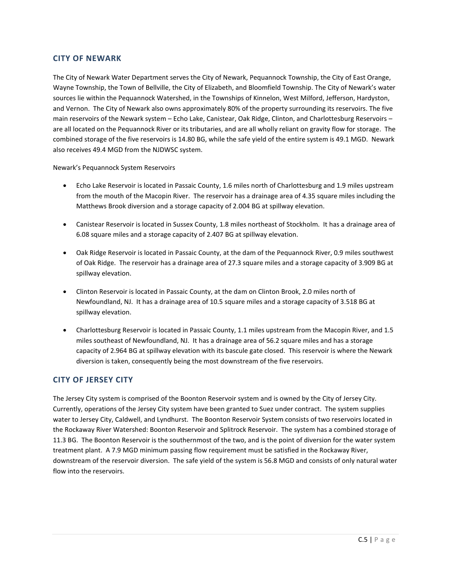#### **CITY OF NEWARK**

The City of Newark Water Department serves the City of Newark, Pequannock Township, the City of East Orange, Wayne Township, the Town of Bellville, the City of Elizabeth, and Bloomfield Township. The City of Newark's water sources lie within the Pequannock Watershed, in the Townships of Kinnelon, West Milford, Jefferson, Hardyston, and Vernon. The City of Newark also owns approximately 80% of the property surrounding its reservoirs. The five main reservoirs of the Newark system – Echo Lake, Canistear, Oak Ridge, Clinton, and Charlottesburg Reservoirs – are all located on the Pequannock River or its tributaries, and are all wholly reliant on gravity flow for storage. The combined storage of the five reservoirs is 14.80 BG, while the safe yield of the entire system is 49.1 MGD. Newark also receives 49.4 MGD from the NJDWSC system.

Newark's Pequannock System Reservoirs

- Echo Lake Reservoir is located in Passaic County, 1.6 miles north of Charlottesburg and 1.9 miles upstream from the mouth of the Macopin River. The reservoir has a drainage area of 4.35 square miles including the Matthews Brook diversion and a storage capacity of 2.004 BG at spillway elevation.
- Canistear Reservoir is located in Sussex County, 1.8 miles northeast of Stockholm. It has a drainage area of 6.08 square miles and a storage capacity of 2.407 BG at spillway elevation.
- Oak Ridge Reservoir is located in Passaic County, at the dam of the Pequannock River, 0.9 miles southwest of Oak Ridge. The reservoir has a drainage area of 27.3 square miles and a storage capacity of 3.909 BG at spillway elevation.
- Clinton Reservoir is located in Passaic County, at the dam on Clinton Brook, 2.0 miles north of Newfoundland, NJ. It has a drainage area of 10.5 square miles and a storage capacity of 3.518 BG at spillway elevation.
- Charlottesburg Reservoir is located in Passaic County, 1.1 miles upstream from the Macopin River, and 1.5 miles southeast of Newfoundland, NJ. It has a drainage area of 56.2 square miles and has a storage capacity of 2.964 BG at spillway elevation with its bascule gate closed. This reservoir is where the Newark diversion is taken, consequently being the most downstream of the five reservoirs.

### **CITY OF JERSEY CITY**

The Jersey City system is comprised of the Boonton Reservoir system and is owned by the City of Jersey City. Currently, operations of the Jersey City system have been granted to Suez under contract. The system supplies water to Jersey City, Caldwell, and Lyndhurst. The Boonton Reservoir System consists of two reservoirs located in the Rockaway River Watershed: Boonton Reservoir and Splitrock Reservoir. The system has a combined storage of 11.3 BG. The Boonton Reservoir is the southernmost of the two, and is the point of diversion for the water system treatment plant. A 7.9 MGD minimum passing flow requirement must be satisfied in the Rockaway River, downstream of the reservoir diversion. The safe yield of the system is 56.8 MGD and consists of only natural water flow into the reservoirs.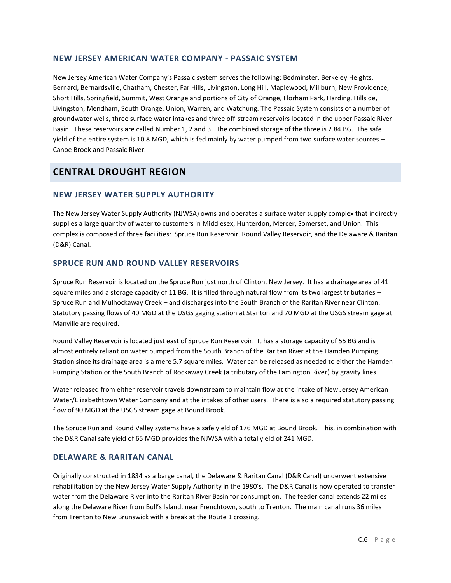### **NEW JERSEY AMERICAN WATER COMPANY - PASSAIC SYSTEM**

New Jersey American Water Company's Passaic system serves the following: Bedminster, Berkeley Heights, Bernard, Bernardsville, Chatham, Chester, Far Hills, Livingston, Long Hill, Maplewood, Millburn, New Providence, Short Hills, Springfield, Summit, West Orange and portions of City of Orange, Florham Park, Harding, Hillside, Livingston, Mendham, South Orange, Union, Warren, and Watchung. The Passaic System consists of a number of groundwater wells, three surface water intakes and three off-stream reservoirs located in the upper Passaic River Basin. These reservoirs are called Number 1, 2 and 3. The combined storage of the three is 2.84 BG. The safe yield of the entire system is 10.8 MGD, which is fed mainly by water pumped from two surface water sources – Canoe Brook and Passaic River.

## **CENTRAL DROUGHT REGION**

### **NEW JERSEY WATER SUPPLY AUTHORITY**

The New Jersey Water Supply Authority (NJWSA) owns and operates a surface water supply complex that indirectly supplies a large quantity of water to customers in Middlesex, Hunterdon, Mercer, Somerset, and Union. This complex is composed of three facilities: Spruce Run Reservoir, Round Valley Reservoir, and the Delaware & Raritan (D&R) Canal.

### **SPRUCE RUN AND ROUND VALLEY RESERVOIRS**

Spruce Run Reservoir is located on the Spruce Run just north of Clinton, New Jersey. It has a drainage area of 41 square miles and a storage capacity of 11 BG. It is filled through natural flow from its two largest tributaries -Spruce Run and Mulhockaway Creek – and discharges into the South Branch of the Raritan River near Clinton. Statutory passing flows of 40 MGD at the USGS gaging station at Stanton and 70 MGD at the USGS stream gage at Manville are required.

Round Valley Reservoir is located just east of Spruce Run Reservoir. It has a storage capacity of 55 BG and is almost entirely reliant on water pumped from the South Branch of the Raritan River at the Hamden Pumping Station since its drainage area is a mere 5.7 square miles. Water can be released as needed to either the Hamden Pumping Station or the South Branch of Rockaway Creek (a tributary of the Lamington River) by gravity lines.

Water released from either reservoir travels downstream to maintain flow at the intake of New Jersey American Water/Elizabethtown Water Company and at the intakes of other users. There is also a required statutory passing flow of 90 MGD at the USGS stream gage at Bound Brook.

The Spruce Run and Round Valley systems have a safe yield of 176 MGD at Bound Brook. This, in combination with the D&R Canal safe yield of 65 MGD provides the NJWSA with a total yield of 241 MGD.

### **DELAWARE & RARITAN CANAL**

Originally constructed in 1834 as a barge canal, the Delaware & Raritan Canal (D&R Canal) underwent extensive rehabilitation by the New Jersey Water Supply Authority in the 1980's. The D&R Canal is now operated to transfer water from the Delaware River into the Raritan River Basin for consumption. The feeder canal extends 22 miles along the Delaware River from Bull's Island, near Frenchtown, south to Trenton. The main canal runs 36 miles from Trenton to New Brunswick with a break at the Route 1 crossing.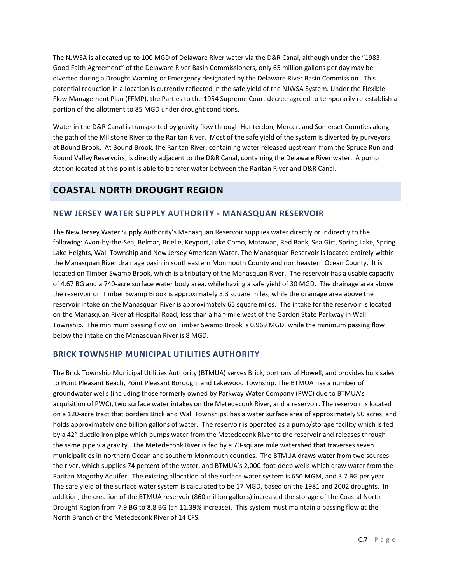The NJWSA is allocated up to 100 MGD of Delaware River water via the D&R Canal, although under the "1983 Good Faith Agreement" of the Delaware River Basin Commissioners, only 65 million gallons per day may be diverted during a Drought Warning or Emergency designated by the Delaware River Basin Commission. This potential reduction in allocation is currently reflected in the safe yield of the NJWSA System. Under the Flexible Flow Management Plan (FFMP), the Parties to the 1954 Supreme Court decree agreed to temporarily re-establish a portion of the allotment to 85 MGD under drought conditions.

Water in the D&R Canal is transported by gravity flow through Hunterdon, Mercer, and Somerset Counties along the path of the Millstone River to the Raritan River. Most of the safe yield of the system is diverted by purveyors at Bound Brook. At Bound Brook, the Raritan River, containing water released upstream from the Spruce Run and Round Valley Reservoirs, is directly adjacent to the D&R Canal, containing the Delaware River water. A pump station located at this point is able to transfer water between the Raritan River and D&R Canal.

## **COASTAL NORTH DROUGHT REGION**

## **NEW JERSEY WATER SUPPLY AUTHORITY - MANASQUAN RESERVOIR**

The New Jersey Water Supply Authority's Manasquan Reservoir supplies water directly or indirectly to the following: Avon-by-the-Sea, Belmar, Brielle, Keyport, Lake Como, Matawan, Red Bank, Sea Girt, Spring Lake, Spring Lake Heights, Wall Township and New Jersey American Water. The Manasquan Reservoir is located entirely within the Manasquan River drainage basin in southeastern Monmouth County and northeastern Ocean County. It is located on Timber Swamp Brook, which is a tributary of the Manasquan River. The reservoir has a usable capacity of 4.67 BG and a 740-acre surface water body area, while having a safe yield of 30 MGD. The drainage area above the reservoir on Timber Swamp Brook is approximately 3.3 square miles, while the drainage area above the reservoir intake on the Manasquan River is approximately 65 square miles. The intake for the reservoir is located on the Manasquan River at Hospital Road, less than a half-mile west of the Garden State Parkway in Wall Township. The minimum passing flow on Timber Swamp Brook is 0.969 MGD, while the minimum passing flow below the intake on the Manasquan River is 8 MGD.

## **BRICK TOWNSHIP MUNICIPAL UTILITIES AUTHORITY**

The Brick Township Municipal Utilities Authority (BTMUA) serves Brick, portions of Howell, and provides bulk sales to Point Pleasant Beach, Point Pleasant Borough, and Lakewood Township. The BTMUA has a number of groundwater wells (including those formerly owned by Parkway Water Company (PWC) due to BTMUA's acquisition of PWC), two surface water intakes on the Metedeconk River, and a reservoir. The reservoir is located on a 120-acre tract that borders Brick and Wall Townships, has a water surface area of approximately 90 acres, and holds approximately one billion gallons of water. The reservoir is operated as a pump/storage facility which is fed by a 42" ductile iron pipe which pumps water from the Metedeconk River to the reservoir and releases through the same pipe via gravity. The Metedeconk River is fed by a 70-square mile watershed that traverses seven municipalities in northern Ocean and southern Monmouth counties. The BTMUA draws water from two sources: the river, which supplies 74 percent of the water, and BTMUA's 2,000-foot-deep wells which draw water from the Raritan Magothy Aquifer. The existing allocation of the surface water system is 650 MGM, and 3.7 BG per year. The safe yield of the surface water system is calculated to be 17 MGD, based on the 1981 and 2002 droughts. In addition, the creation of the BTMUA reservoir (860 million gallons) increased the storage of the Coastal North Drought Region from 7.9 BG to 8.8 BG (an 11.39% increase). This system must maintain a passing flow at the North Branch of the Metedeconk River of 14 CFS.